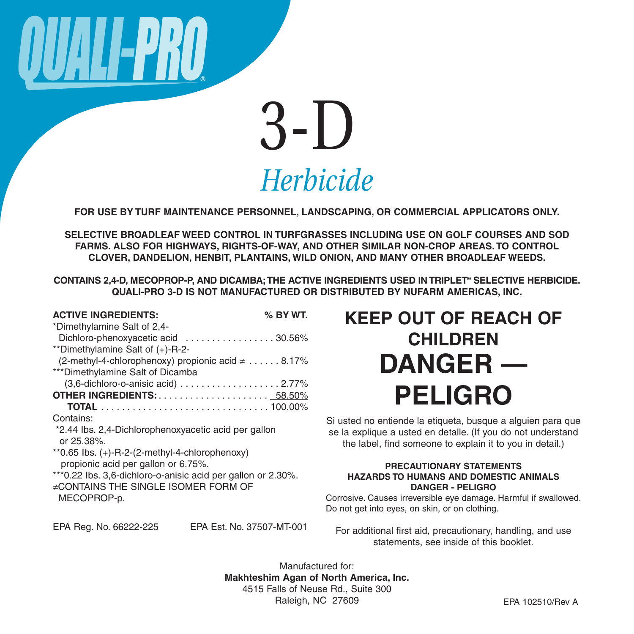

**FOR USE BY TURF MAINTENANCE PERSONNEL, LANDSCAPING, OR COMMERCIAL APPLICATORS ONLY.**

**SELECTIVE BROADLEAF WEED CONTROL IN TURFGRASSES INCLUDING USE ON GOLF COURSES AND SOD FARMS. ALSO FOR HIGHWAYS, RIGHTS-OF-WAY, AND OTHER SIMILAR NON-CROP AREAS. TO CONTROL CLOVER, DANDELION, HENBIT, PLANTAINS, WILD ONION, AND MANY OTHER BROADLEAF WEEDS.**

**CONTAINS 2,4-D, MECOPROP-P, AND DICAMBA;THE ACTIVE INGREDIENTS USED IN TRIPLET® SELECTIVE HERBICIDE. QUALI-PRO 3-D IS NOT MANUFACTURED OR DISTRIBUTED BY NUFARM AMERICAS, INC.**

| <b>ACTIVE INGREDIENTS:</b>                                           | % BY WT.                           |  |
|----------------------------------------------------------------------|------------------------------------|--|
| *Dimethylamine Salt of 2,4-                                          |                                    |  |
| Dichloro-phenoxyacetic acid 30.56%                                   |                                    |  |
| **Dimethylamine Salt of (+)-R-2-                                     |                                    |  |
| (2-methyl-4-chlorophenoxy) propionic acid $\neq \ldots \ldots$ 8.17% |                                    |  |
| ***Dimethylamine Salt of Dicamba                                     |                                    |  |
|                                                                      | (3,6-dichloro-o-anisic acid) 2.77% |  |
|                                                                      |                                    |  |
|                                                                      |                                    |  |
| Contains:                                                            |                                    |  |
| *2.44 lbs. 2,4-Dichlorophenoxyacetic acid per gallon                 |                                    |  |
| or 25.38%.                                                           |                                    |  |
| **0.65 lbs. $(+)$ -R-2- $(2$ -methyl-4-chlorophenoxy)                |                                    |  |
| propionic acid per gallon or 6.75%.                                  |                                    |  |
| *** 0.22 lbs. 3,6-dichloro-o-anisic acid per gallon or 2.30%.        |                                    |  |
| ≠CONTAINS THE SINGLE ISOMER FORM OF                                  |                                    |  |
| MECOPROP-p.                                                          |                                    |  |
|                                                                      |                                    |  |
| EPA Reg. No. 66222-225                                               | EPA Est. No. 37507-MT-001          |  |

# **KEEP OUT OF REACH OF CHILDREN DANGER — PELIGRO**

Si usted no entiende la etiqueta, busque a alguien para que se la explique a usted en detalle. (If you do not understand the label, find someone to explain it to you in detail.)

#### **PRECAUTIONARY STATEMENTS HAZARDS TO HUMANS AND DOMESTIC ANIMALS DANGER - PELIGRO**

Corrosive. Causes irreversible eye damage. Harmful if swallowed. Do not get into eyes, on skin, or on clothing.

For additional first aid, precautionary, handling, and use statements, see inside of this booklet.

Manufactured for: **Makhteshim Agan of North America, Inc.** 4515 Falls of Neuse Rd., Suite 300 Raleigh, NC 27609 **EPA 102510/Rev A**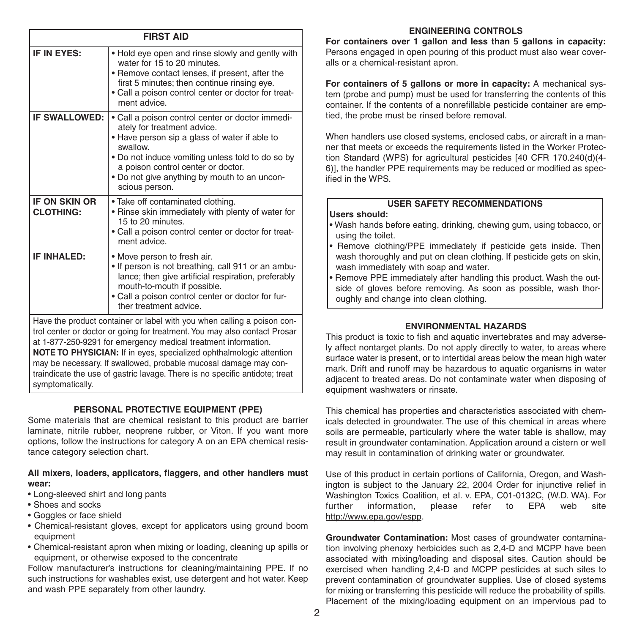| <b>FIRST AID</b>                                                                                                                                                                                                                                                                              |                                                                                                                                                                                                                                                                                                          |  |  |
|-----------------------------------------------------------------------------------------------------------------------------------------------------------------------------------------------------------------------------------------------------------------------------------------------|----------------------------------------------------------------------------------------------------------------------------------------------------------------------------------------------------------------------------------------------------------------------------------------------------------|--|--|
| IF IN EYES:                                                                                                                                                                                                                                                                                   | . Hold eye open and rinse slowly and gently with<br>water for 15 to 20 minutes.<br>• Remove contact lenses, if present, after the<br>first 5 minutes; then continue rinsing eye.<br>. Call a poison control center or doctor for treat-<br>ment advice.                                                  |  |  |
| <b>IF SWALLOWED:</b>                                                                                                                                                                                                                                                                          | . Call a poison control center or doctor immedi-<br>ately for treatment advice.<br>. Have person sip a glass of water if able to<br>swallow.<br>. Do not induce vomiting unless told to do so by<br>a poison control center or doctor.<br>. Do not give anything by mouth to an uncon-<br>scious person. |  |  |
| <b>IF ON SKIN OR</b><br><b>CLOTHING:</b>                                                                                                                                                                                                                                                      | . Take off contaminated clothing.<br>• Rinse skin immediately with plenty of water for<br>15 to 20 minutes.<br>. Call a poison control center or doctor for treat-<br>ment advice.                                                                                                                       |  |  |
| IF INHALED:                                                                                                                                                                                                                                                                                   | . Move person to fresh air.<br>. If person is not breathing, call 911 or an ambu-<br>lance; then give artificial respiration, preferably<br>mouth-to-mouth if possible.<br>. Call a poison control center or doctor for fur-<br>ther treatment advice.                                                   |  |  |
| Have the product container or label with you when calling a poison con-<br>trol center or doctor or going for treatment. You may also contact Prosar<br>at 1-877-250-9291 for emergency medical treatment information.<br>NOTE TO PHYSICIAN: If in eyes, specialized ophthalmologic attention |                                                                                                                                                                                                                                                                                                          |  |  |

may be necessary. If swallowed, probable mucosal damage may contraindicate the use of gastric lavage. There is no specific antidote; treat symptomatically.

#### **PERSONAL PROTECTIVE EQUIPMENT (PPE)**

Some materials that are chemical resistant to this product are barrier laminate, nitrile rubber, neoprene rubber, or Viton. If you want more options, follow the instructions for category A on an EPA chemical resistance category selection chart.

#### **All mixers, loaders, applicators, flaggers, and other handlers must wear:**

- Long-sleeved shirt and long pants
- Shoes and socks
- Goggles or face shield
- Chemical-resistant gloves, except for applicators using ground boom equipment
- Chemical-resistant apron when mixing or loading, cleaning up spills or equipment, or otherwise exposed to the concentrate

Follow manufacturer's instructions for cleaning/maintaining PPE. If no such instructions for washables exist, use detergent and hot water. Keep and wash PPE separately from other laundry.

#### **ENGINEERING CONTROLS**

**For containers over 1 gallon and less than 5 gallons in capacity:** Persons engaged in open pouring of this product must also wear coveralls or a chemical-resistant apron.

**For containers of 5 gallons or more in capacity:** A mechanical system (probe and pump) must be used for transferring the contents of this container. If the contents of a nonrefillable pesticide container are emptied, the probe must be rinsed before removal.

When handlers use closed systems, enclosed cabs, or aircraft in a manner that meets or exceeds the requirements listed in the Worker Protection Standard (WPS) for agricultural pesticides [40 CFR 170.240(d)(4- 6)], the handler PPE requirements may be reduced or modified as specified in the WPS.

### **USER SAFETY RECOMMENDATIONS**

#### **Users should:**

- Wash hands before eating, drinking, chewing gum, using tobacco, or using the toilet.
- Remove clothing/PPE immediately if pesticide gets inside. Then wash thoroughly and put on clean clothing. If pesticide gets on skin, wash immediately with soap and water.
- Remove PPE immediately after handling this product. Wash the outside of gloves before removing. As soon as possible, wash thoroughly and change into clean clothing.

#### **ENVIRONMENTAL HAZARDS**

This product is toxic to fish and aquatic invertebrates and may adversely affect nontarget plants. Do not apply directly to water, to areas where surface water is present, or to intertidal areas below the mean high water mark. Drift and runoff may be hazardous to aquatic organisms in water adjacent to treated areas. Do not contaminate water when disposing of equipment washwaters or rinsate.

This chemical has properties and characteristics associated with chemicals detected in groundwater. The use of this chemical in areas where soils are permeable, particularly where the water table is shallow, may result in groundwater contamination. Application around a cistern or well may result in contamination of drinking water or groundwater.

Use of this product in certain portions of California, Oregon, and Washington is subject to the January 22, 2004 Order for injunctive relief in Washington Toxics Coalition, et al. v. EPA, C01-0132C, (W.D. WA). For further information, please refer to EPA web site http://www.epa.gov/espp.

**Groundwater Contamination:** Most cases of groundwater contamination involving phenoxy herbicides such as 2,4-D and MCPP have been associated with mixing/loading and disposal sites. Caution should be exercised when handling 2,4-D and MCPP pesticides at such sites to prevent contamination of groundwater supplies. Use of closed systems for mixing or transferring this pesticide will reduce the probability of spills. Placement of the mixing/loading equipment on an impervious pad to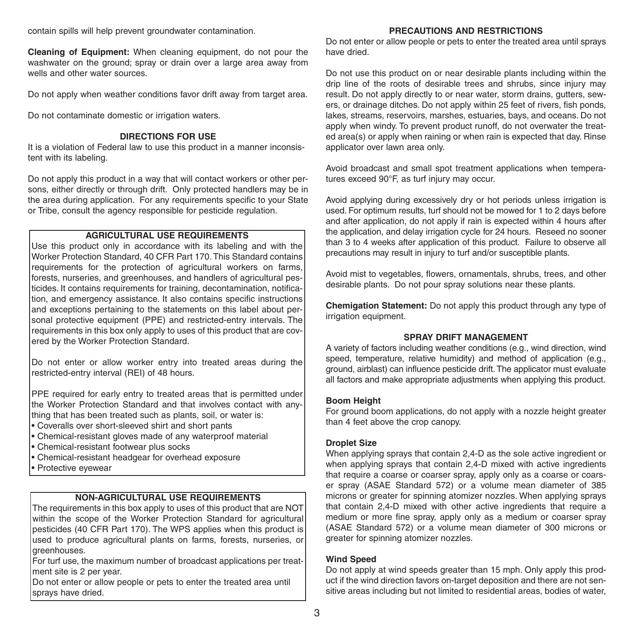contain spills will help prevent groundwater contamination.

**Cleaning of Equipment:** When cleaning equipment, do not pour the washwater on the ground; spray or drain over a large area away from wells and other water sources.

Do not apply when weather conditions favor drift away from target area.

Do not contaminate domestic or irrigation waters.

#### **DIRECTIONS FOR USE**

It is a violation of Federal law to use this product in a manner inconsistent with its labeling.

Do not apply this product in a way that will contact workers or other persons, either directly or through drift. Only protected handlers may be in the area during application. For any requirements specific to your State or Tribe, consult the agency responsible for pesticide regulation.

#### **AGRICULTURAL USE REQUIREMENTS**

Use this product only in accordance with its labeling and with the Worker Protection Standard, 40 CFR Part 170.This Standard contains requirements for the protection of agricultural workers on farms, forests, nurseries, and greenhouses, and handlers of agricultural pesticides. It contains requirements for training, decontamination, notification, and emergency assistance. It also contains specific instructions and exceptions pertaining to the statements on this label about personal protective equipment (PPE) and restricted-entry intervals. The requirements in this box only apply to uses of this product that are covered by the Worker Protection Standard.

Do not enter or allow worker entry into treated areas during the restricted-entry interval (REI) of 48 hours.

PPE required for early entry to treated areas that is permitted under the Worker Protection Standard and that involves contact with anything that has been treated such as plants, soil, or water is:

- Coveralls over short-sleeved shirt and short pants
- Chemical-resistant gloves made of any waterproof material
- Chemical-resistant footwear plus socks
- Chemical-resistant headgear for overhead exposure
- Protective eyewear

#### **NON-AGRICULTURAL USE REQUIREMENTS**

The requirements in this box apply to uses of this product that are NOT within the scope of the Worker Protection Standard for agricultural pesticides (40 CFR Part 170). The WPS applies when this product is used to produce agricultural plants on farms, forests, nurseries, or greenhouses.

For turf use, the maximum number of broadcast applications per treatment site is 2 per year.

Do not enter or allow people or pets to enter the treated area until sprays have dried.

#### **PRECAUTIONS AND RESTRICTIONS**

Do not enter or allow people or pets to enter the treated area until sprays have dried.

Do not use this product on or near desirable plants including within the drip line of the roots of desirable trees and shrubs, since injury may result. Do not apply directly to or near water, storm drains, gutters, sewers, or drainage ditches. Do not apply within 25 feet of rivers, fish ponds, lakes, streams, reservoirs, marshes, estuaries, bays, and oceans. Do not apply when windy. To prevent product runoff, do not overwater the treated area(s) or apply when raining or when rain is expected that day. Rinse applicator over lawn area only.

Avoid broadcast and small spot treatment applications when temperatures exceed 90°F, as turf injury may occur.

Avoid applying during excessively dry or hot periods unless irrigation is used. For optimum results, turf should not be mowed for 1 to 2 days before and after application, do not apply if rain is expected within 4 hours after the application, and delay irrigation cycle for 24 hours. Reseed no sooner than 3 to 4 weeks after application of this product. Failure to observe all precautions may result in injury to turf and/or susceptible plants.

Avoid mist to vegetables, flowers, ornamentals, shrubs, trees, and other desirable plants. Do not pour spray solutions near these plants.

**Chemigation Statement:** Do not apply this product through any type of irrigation equipment.

#### **SPRAY DRIFT MANAGEMENT**

A variety of factors including weather conditions (e.g., wind direction, wind speed, temperature, relative humidity) and method of application (e.g., ground, airblast) can influence pesticide drift.The applicator must evaluate all factors and make appropriate adjustments when applying this product.

#### **Boom Height**

For ground boom applications, do not apply with a nozzle height greater than 4 feet above the crop canopy.

#### **Droplet Size**

When applying sprays that contain 2,4-D as the sole active ingredient or when applying sprays that contain 2,4-D mixed with active ingredients that require a coarse or coarser spray, apply only as a coarse or coarser spray (ASAE Standard 572) or a volume mean diameter of 385 microns or greater for spinning atomizer nozzles. When applying sprays that contain 2,4-D mixed with other active ingredients that require a medium or more fine spray, apply only as a medium or coarser spray (ASAE Standard 572) or a volume mean diameter of 300 microns or greater for spinning atomizer nozzles.

#### **Wind Speed**

Do not apply at wind speeds greater than 15 mph. Only apply this product if the wind direction favors on-target deposition and there are not sensitive areas including but not limited to residential areas, bodies of water,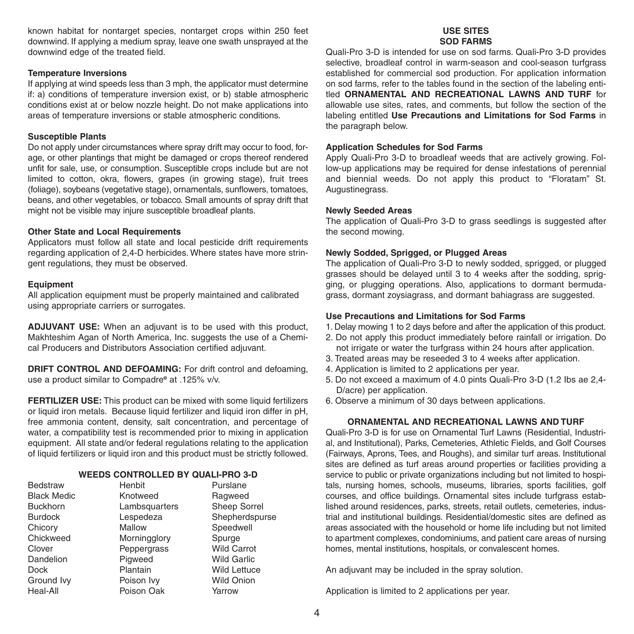known habitat for nontarget species, nontarget crops within 250 feet downwind. If applying a medium spray, leave one swath unsprayed at the downwind edge of the treated field.

#### **Temperature Inversions**

If applying at wind speeds less than 3 mph, the applicator must determine if: a) conditions of temperature inversion exist, or b) stable atmospheric conditions exist at or below nozzle height. Do not make applications into areas of temperature inversions or stable atmospheric conditions.

#### **Susceptible Plants**

Do not apply under circumstances where spray drift may occur to food, forage, or other plantings that might be damaged or crops thereof rendered unfit for sale, use, or consumption. Susceptible crops include but are not limited to cotton, okra, flowers, grapes (in growing stage), fruit trees (foliage), soybeans (vegetative stage), ornamentals, sunflowers, tomatoes, beans, and other vegetables, or tobacco. Small amounts of spray drift that might not be visible may injure susceptible broadleaf plants.

#### **Other State and Local Requirements**

Applicators must follow all state and local pesticide drift requirements regarding application of 2,4-D herbicides. Where states have more stringent regulations, they must be observed.

#### **Equipment**

All application equipment must be properly maintained and calibrated using appropriate carriers or surrogates.

**ADJUVANT USE:** When an adjuvant is to be used with this product, Makhteshim Agan of North America, Inc. suggests the use of a Chemical Producers and Distributors Association certified adjuvant.

**DRIFT CONTROL AND DEFOAMING:** For drift control and defoaming, use a product similar to Compadre**®** at .125% v/v.

**FERTILIZER USE:** This product can be mixed with some liquid fertilizers or liquid iron metals. Because liquid fertilizer and liquid iron differ in pH, free ammonia content, density, salt concentration, and percentage of water, a compatibility test is recommended prior to mixing in application equipment. All state and/or federal regulations relating to the application of liquid fertilizers or liquid iron and this product must be strictly followed.

#### **WEEDS CONTROLLED BY QUALI-PRO 3-D**

| Bedstraw           | Henbit        | Purslane            |
|--------------------|---------------|---------------------|
| <b>Black Medic</b> | Knotweed      | Ragweed             |
| <b>Buckhorn</b>    | Lambsquarters | Sheep Sorrel        |
| <b>Burdock</b>     | Lespedeza     | Shepherdspurse      |
| Chicory            | Mallow        | Speedwell           |
| Chickweed          | Morningglory  | Spurge              |
| Clover             | Peppergrass   | <b>Wild Carrot</b>  |
| Dandelion          | Pigweed       | <b>Wild Garlic</b>  |
| <b>Dock</b>        | Plantain      | <b>Wild Lettuce</b> |
| Ground Ivy         | Poison Ivy    | <b>Wild Onion</b>   |
| Heal-All           | Poison Oak    | Yarrow              |

#### **USE SITES SOD FARMS**

Quali-Pro 3-D is intended for use on sod farms. Quali-Pro 3-D provides selective, broadleaf control in warm-season and cool-season turfgrass established for commercial sod production. For application information on sod farms, refer to the tables found in the section of the labeling entitled **ORNAMENTAL AND RECREATIONAL LAWNS AND TURF** for allowable use sites, rates, and comments, but follow the section of the labeling entitled **Use Precautions and Limitations for Sod Farms** in the paragraph below.

#### **Application Schedules for Sod Farms**

Apply Quali-Pro 3-D to broadleaf weeds that are actively growing. Follow-up applications may be required for dense infestations of perennial and biennial weeds. Do not apply this product to "Floratam" St. Augustinegrass.

#### **Newly Seeded Areas**

The application of Quali-Pro 3-D to grass seedlings is suggested after the second mowing.

#### **Newly Sodded, Sprigged, or Plugged Areas**

The application of Quali-Pro 3-D to newly sodded, sprigged, or plugged grasses should be delayed until 3 to 4 weeks after the sodding, sprigging, or plugging operations. Also, applications to dormant bermudagrass, dormant zoysiagrass, and dormant bahiagrass are suggested.

#### **Use Precautions and Limitations for Sod Farms**

- 1. Delay mowing 1 to 2 days before and after the application of this product.
- 2. Do not apply this product immediately before rainfall or irrigation. Do not irrigate or water the turfgrass within 24 hours after application.
- 3. Treated areas may be reseeded 3 to 4 weeks after application.
- 4. Application is limited to 2 applications per year.
- 5. Do not exceed a maximum of 4.0 pints Quali-Pro 3-D (1.2 Ibs ae 2,4- D/acre) per application.
- 6. Observe a minimum of 30 days between applications.

#### **ORNAMENTAL AND RECREATIONAL LAWNS AND TURF**

Quali-Pro 3-D is for use on Ornamental Turf Lawns (Residential, Industrial, and Institutional), Parks, Cemeteries, Athletic Fields, and Golf Courses (Fairways, Aprons, Tees, and Roughs), and similar turf areas. Institutional sites are defined as turf areas around properties or facilities providing a service to public or private organizations including but not limited to hospitals, nursing homes, schools, museums, libraries, sports facilities, golf courses, and office buildings. Ornamental sites include turfgrass established around residences, parks, streets, retail outlets, cemeteries, industrial and institutional buildings. Residential/domestic sites are defined as areas associated with the household or home life including but not limited to apartment complexes, condominiums, and patient care areas of nursing homes, mental institutions, hospitals, or convalescent homes.

An adjuvant may be included in the spray solution.

Application is limited to 2 applications per year.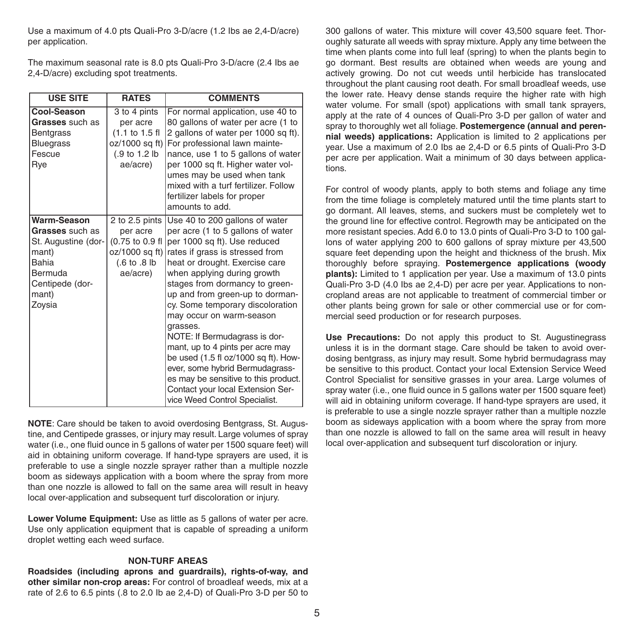Use a maximum of 4.0 pts Quali-Pro 3-D/acre (1.2 Ibs ae 2,4-D/acre) per application.

The maximum seasonal rate is 8.0 pts Quali-Pro 3-D/acre (2.4 Ibs ae 2,4-D/acre) excluding spot treatments.

| <b>USE SITE</b>                                                                                                          | <b>RATES</b>                                                                                                    | <b>COMMENTS</b>                                                                                                                                                                                                                                                                                                                                                                                                                                                                                                                                                                                                        |
|--------------------------------------------------------------------------------------------------------------------------|-----------------------------------------------------------------------------------------------------------------|------------------------------------------------------------------------------------------------------------------------------------------------------------------------------------------------------------------------------------------------------------------------------------------------------------------------------------------------------------------------------------------------------------------------------------------------------------------------------------------------------------------------------------------------------------------------------------------------------------------------|
| Cool-Season<br>Grasses such as<br><b>Bentgrass</b><br><b>Bluegrass</b><br>Fescue<br>Rye                                  | 3 to 4 pints<br>per acre<br>$(1.1 to 1.5$ fl<br>oz/1000 sq ft)<br>(.9 to 1.2 lb<br>ae/acre)                     | For normal application, use 40 to<br>80 gallons of water per acre (1 to<br>2 gallons of water per 1000 sq ft).<br>For professional lawn mainte-<br>nance, use 1 to 5 gallons of water<br>per 1000 sq ft. Higher water vol-<br>umes may be used when tank<br>mixed with a turf fertilizer. Follow<br>fertilizer labels for proper<br>amounts to add.                                                                                                                                                                                                                                                                    |
| Warm-Season<br>Grasses such as<br>St. Augustine (dor-<br>mant)<br>Bahia<br>Bermuda<br>Centipede (dor-<br>mant)<br>Zoysia | 2 to 2.5 pints<br>per acre<br>(0.75 to 0.9 fl<br>oz/1000 sq ft)<br>$(.6 \text{ to } .8 \text{ lb})$<br>ae/acre) | Use 40 to 200 gallons of water<br>per acre (1 to 5 gallons of water<br>per 1000 sq ft). Use reduced<br>rates if grass is stressed from<br>heat or drought. Exercise care<br>when applying during growth<br>stages from dormancy to green-<br>up and from green-up to dorman-<br>cy. Some temporary discoloration<br>may occur on warm-season<br>grasses.<br>NOTE: If Bermudagrass is dor-<br>mant, up to 4 pints per acre may<br>be used (1.5 fl oz/1000 sq ft). How-<br>ever, some hybrid Bermudagrass-<br>es may be sensitive to this product.<br>Contact your local Extension Ser-<br>vice Weed Control Specialist. |

**NOTE**: Care should be taken to avoid overdosing Bentgrass, St. Augustine, and Centipede grasses, or injury may result. Large volumes of spray water (i.e., one fluid ounce in 5 gallons of water per 1500 square feet) will aid in obtaining uniform coverage. If hand-type sprayers are used, it is preferable to use a single nozzle sprayer rather than a multiple nozzle boom as sideways application with a boom where the spray from more than one nozzle is allowed to fall on the same area will result in heavy local over-application and subsequent turf discoloration or injury.

**Lower Volume Equipment:** Use as little as 5 gallons of water per acre. Use only application equipment that is capable of spreading a uniform droplet wetting each weed surface.

#### **NON-TURF AREAS**

**Roadsides (including aprons and guardrails), rights-of-way, and other similar non-crop areas:** For control of broadleaf weeds, mix at a rate of 2.6 to 6.5 pints (.8 to 2.0 Ib ae 2,4-D) of Quali-Pro 3-D per 50 to

300 gallons of water. This mixture will cover 43,500 square feet. Thoroughly saturate all weeds with spray mixture. Apply any time between the time when plants come into full leaf (spring) to when the plants begin to go dormant. Best results are obtained when weeds are young and actively growing. Do not cut weeds until herbicide has translocated throughout the plant causing root death. For small broadleaf weeds, use the lower rate. Heavy dense stands require the higher rate with high water volume. For small (spot) applications with small tank sprayers, apply at the rate of 4 ounces of Quali-Pro 3-D per gallon of water and spray to thoroughly wet all foliage. **Postemergence (annual and perennial weeds) applications:** Application is limited to 2 applications per year. Use a maximum of 2.0 Ibs ae 2,4-D or 6.5 pints of Quali-Pro 3-D per acre per application. Wait a minimum of 30 days between applications.

For control of woody plants, apply to both stems and foliage any time from the time foliage is completely matured until the time plants start to go dormant. All leaves, stems, and suckers must be completely wet to the ground line for effective control. Regrowth may be anticipated on the more resistant species. Add 6.0 to 13.0 pints of Quali-Pro 3-D to 100 gallons of water applying 200 to 600 gallons of spray mixture per 43,500 square feet depending upon the height and thickness of the brush. Mix thoroughly before spraying. **Postemergence applications (woody plants):** Limited to 1 application per year. Use a maximum of 13.0 pints Quali-Pro 3-D (4.0 Ibs ae 2,4-D) per acre per year. Applications to noncropland areas are not applicable to treatment of commercial timber or other plants being grown for sale or other commercial use or for commercial seed production or for research purposes.

**Use Precautions:** Do not apply this product to St. Augustinegrass unless it is in the dormant stage. Care should be taken to avoid overdosing bentgrass, as injury may result. Some hybrid bermudagrass may be sensitive to this product. Contact your local Extension Service Weed Control Specialist for sensitive grasses in your area. Large volumes of spray water (i.e., one fluid ounce in 5 gallons water per 1500 square feet) will aid in obtaining uniform coverage. If hand-type sprayers are used, it is preferable to use a single nozzle sprayer rather than a multiple nozzle boom as sideways application with a boom where the spray from more than one nozzle is allowed to fall on the same area will result in heavy local over-application and subsequent turf discoloration or injury.